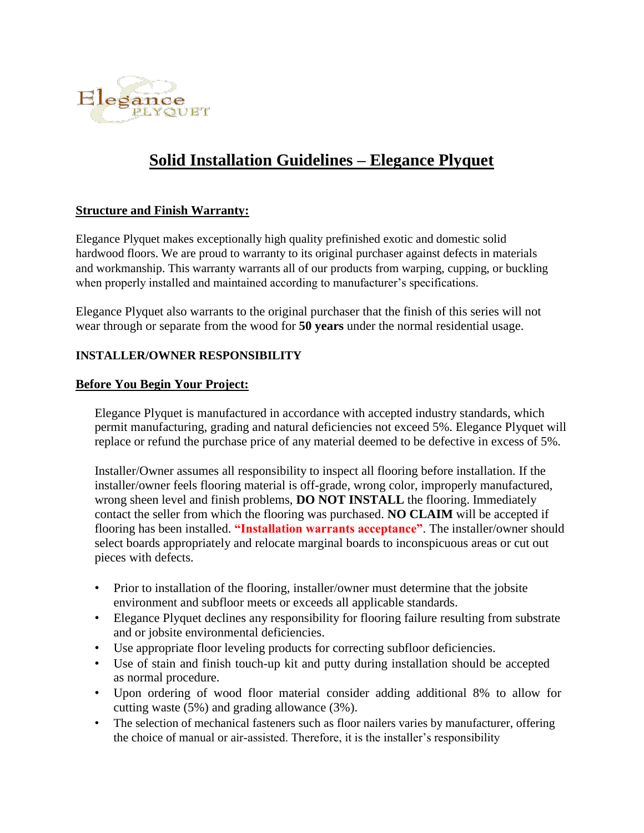

# **Solid Installation Guidelines – Elegance Plyquet**

#### **Structure and Finish Warranty:**

Elegance Plyquet makes exceptionally high quality prefinished exotic and domestic solid hardwood floors. We are proud to warranty to its original purchaser against defects in materials and workmanship. This warranty warrants all of our products from warping, cupping, or buckling when properly installed and maintained according to manufacturer's specifications.

Elegance Plyquet also warrants to the original purchaser that the finish of this series will not wear through or separate from the wood for **50 years** under the normal residential usage.

#### **INSTALLER/OWNER RESPONSIBILITY**

#### **Before You Begin Your Project:**

Elegance Plyquet is manufactured in accordance with accepted industry standards, which permit manufacturing, grading and natural deficiencies not exceed 5%. Elegance Plyquet will replace or refund the purchase price of any material deemed to be defective in excess of 5%.

Installer/Owner assumes all responsibility to inspect all flooring before installation. If the installer/owner feels flooring material is off-grade, wrong color, improperly manufactured, wrong sheen level and finish problems, **DO NOT INSTALL** the flooring. Immediately contact the seller from which the flooring was purchased. **NO CLAIM** will be accepted if flooring has been installed. **"Installation warrants acceptance"**. The installer/owner should select boards appropriately and relocate marginal boards to inconspicuous areas or cut out pieces with defects.

- Prior to installation of the flooring, installer/owner must determine that the jobsite environment and subfloor meets or exceeds all applicable standards.
- Elegance Plyquet declines any responsibility for flooring failure resulting from substrate and or jobsite environmental deficiencies.
- Use appropriate floor leveling products for correcting subfloor deficiencies.
- Use of stain and finish touch-up kit and putty during installation should be accepted as normal procedure.
- Upon ordering of wood floor material consider adding additional 8% to allow for cutting waste (5%) and grading allowance (3%).
- The selection of mechanical fasteners such as floor nailers varies by manufacturer, offering the choice of manual or air-assisted. Therefore, it is the installer's responsibility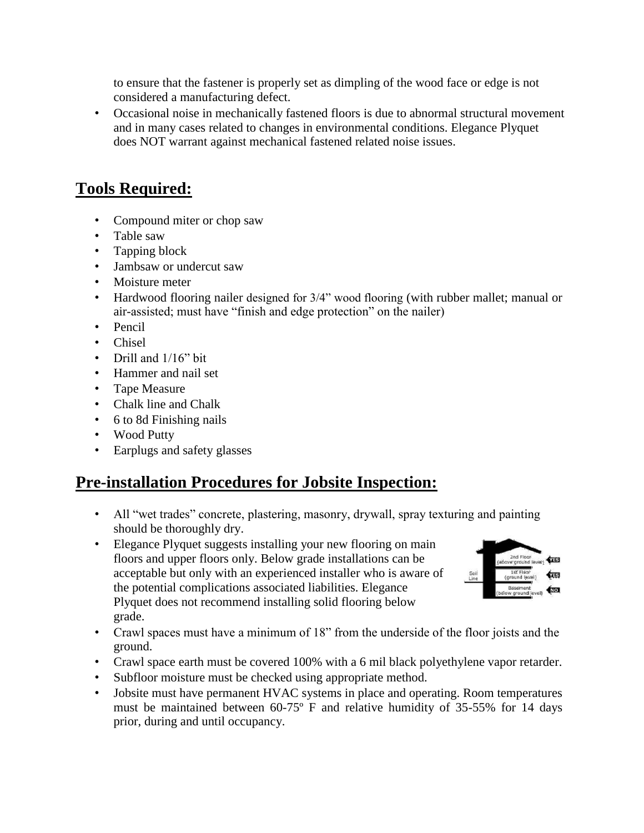to ensure that the fastener is properly set as dimpling of the wood face or edge is not considered a manufacturing defect.

• Occasional noise in mechanically fastened floors is due to abnormal structural movement and in many cases related to changes in environmental conditions. Elegance Plyquet does NOT warrant against mechanical fastened related noise issues.

## **Tools Required:**

- Compound miter or chop saw
- Table saw
- Tapping block
- Jambsaw or undercut saw
- Moisture meter
- Hardwood flooring nailer designed for 3/4" wood flooring (with rubber mallet; manual or air-assisted; must have "finish and edge protection" on the nailer)
- Pencil
- Chisel
- Drill and 1/16" bit
- Hammer and nail set
- Tape Measure
- Chalk line and Chalk
- 6 to 8d Finishing nails
- Wood Putty
- Earplugs and safety glasses

## **Pre-installation Procedures for Jobsite Inspection:**

- All "wet trades" concrete, plastering, masonry, drywall, spray texturing and painting should be thoroughly dry.
- Elegance Plyquet suggests installing your new flooring on main floors and upper floors only. Below grade installations can be acceptable but only with an experienced installer who is aware of the potential complications associated liabilities. Elegance Plyquet does not recommend installing solid flooring below grade.



- Crawl spaces must have a minimum of 18" from the underside of the floor joists and the ground.
- Crawl space earth must be covered 100% with a 6 mil black polyethylene vapor retarder.
- Subfloor moisture must be checked using appropriate method.
- Jobsite must have permanent HVAC systems in place and operating. Room temperatures must be maintained between 60-75º F and relative humidity of 35-55% for 14 days prior, during and until occupancy.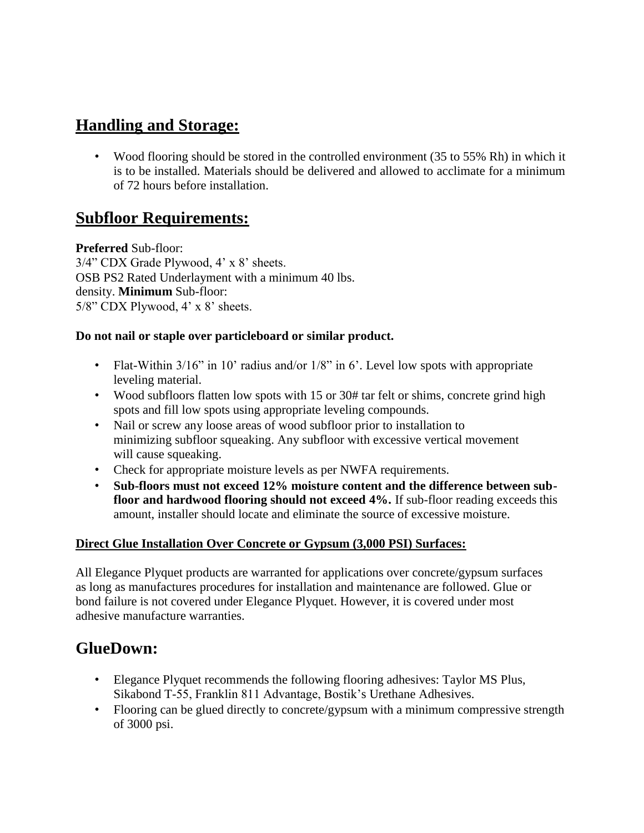# **Handling and Storage:**

• Wood flooring should be stored in the controlled environment (35 to 55% Rh) in which it is to be installed. Materials should be delivered and allowed to acclimate for a minimum of 72 hours before installation.

## **Subfloor Requirements:**

**Preferred** Sub-floor: 3/4" CDX Grade Plywood, 4' x 8' sheets. OSB PS2 Rated Underlayment with a minimum 40 lbs. density. **Minimum** Sub-floor: 5/8" CDX Plywood, 4' x 8' sheets.

### **Do not nail or staple over particleboard or similar product.**

- Flat-Within 3/16" in 10' radius and/or 1/8" in 6'. Level low spots with appropriate leveling material.
- Wood subfloors flatten low spots with 15 or 30# tar felt or shims, concrete grind high spots and fill low spots using appropriate leveling compounds.
- Nail or screw any loose areas of wood subfloor prior to installation to minimizing subfloor squeaking. Any subfloor with excessive vertical movement will cause squeaking.
- Check for appropriate moisture levels as per NWFA requirements.
- **Sub-floors must not exceed 12% moisture content and the difference between subfloor and hardwood flooring should not exceed 4%.** If sub-floor reading exceeds this amount, installer should locate and eliminate the source of excessive moisture.

### **Direct Glue Installation Over Concrete or Gypsum (3,000 PSI) Surfaces:**

All Elegance Plyquet products are warranted for applications over concrete/gypsum surfaces as long as manufactures procedures for installation and maintenance are followed. Glue or bond failure is not covered under Elegance Plyquet. However, it is covered under most adhesive manufacture warranties.

## **GlueDown:**

- Elegance Plyquet recommends the following flooring adhesives: Taylor MS Plus, Sikabond T-55, Franklin 811 Advantage, Bostik's Urethane Adhesives.
- Flooring can be glued directly to concrete/gypsum with a minimum compressive strength of 3000 psi.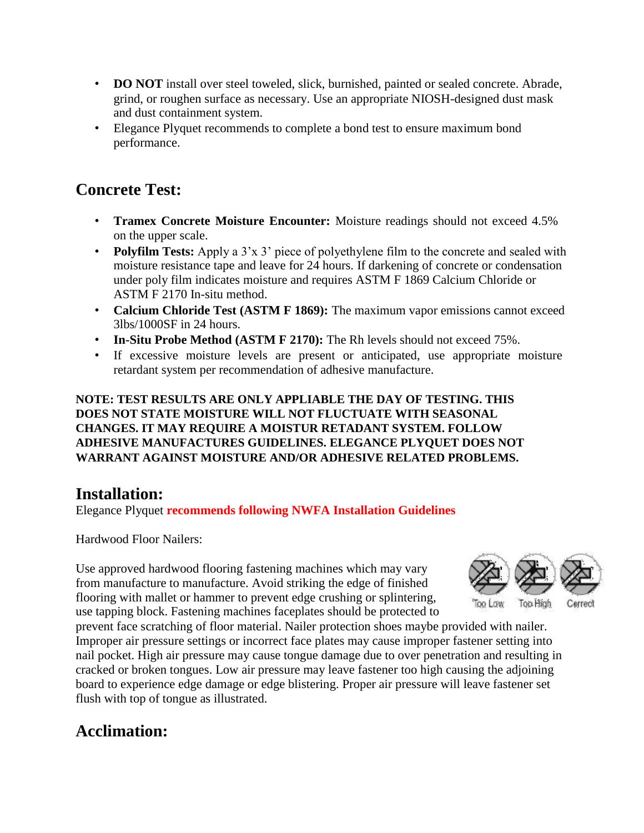- **DO NOT** install over steel toweled, slick, burnished, painted or sealed concrete. Abrade, grind, or roughen surface as necessary. Use an appropriate NIOSH-designed dust mask and dust containment system.
- Elegance Plyquet recommends to complete a bond test to ensure maximum bond performance.

# **Concrete Test:**

- **Tramex Concrete Moisture Encounter:** Moisture readings should not exceed 4.5% on the upper scale.
- **Polyfilm Tests:** Apply a 3'x 3' piece of polyethylene film to the concrete and sealed with moisture resistance tape and leave for 24 hours. If darkening of concrete or condensation under poly film indicates moisture and requires ASTM F 1869 Calcium Chloride or ASTM F 2170 In-situ method.
- **Calcium Chloride Test (ASTM F 1869):** The maximum vapor emissions cannot exceed 3lbs/1000SF in 24 hours.
- **In-Situ Probe Method (ASTM F 2170):** The Rh levels should not exceed 75%.
- If excessive moisture levels are present or anticipated, use appropriate moisture retardant system per recommendation of adhesive manufacture.

**NOTE: TEST RESULTS ARE ONLY APPLIABLE THE DAY OF TESTING. THIS DOES NOT STATE MOISTURE WILL NOT FLUCTUATE WITH SEASONAL CHANGES. IT MAY REQUIRE A MOISTUR RETADANT SYSTEM. FOLLOW ADHESIVE MANUFACTURES GUIDELINES. ELEGANCE PLYQUET DOES NOT WARRANT AGAINST MOISTURE AND/OR ADHESIVE RELATED PROBLEMS.**

## **Installation:**

Elegance Plyquet **recommends following NWFA Installation Guidelines**

Hardwood Floor Nailers:

Use approved hardwood flooring fastening machines which may vary from manufacture to manufacture. Avoid striking the edge of finished flooring with mallet or hammer to prevent edge crushing or splintering, use tapping block. Fastening machines faceplates should be protected to



prevent face scratching of floor material. Nailer protection shoes maybe provided with nailer. Improper air pressure settings or incorrect face plates may cause improper fastener setting into nail pocket. High air pressure may cause tongue damage due to over penetration and resulting in cracked or broken tongues. Low air pressure may leave fastener too high causing the adjoining board to experience edge damage or edge blistering. Proper air pressure will leave fastener set flush with top of tongue as illustrated.

# **Acclimation:**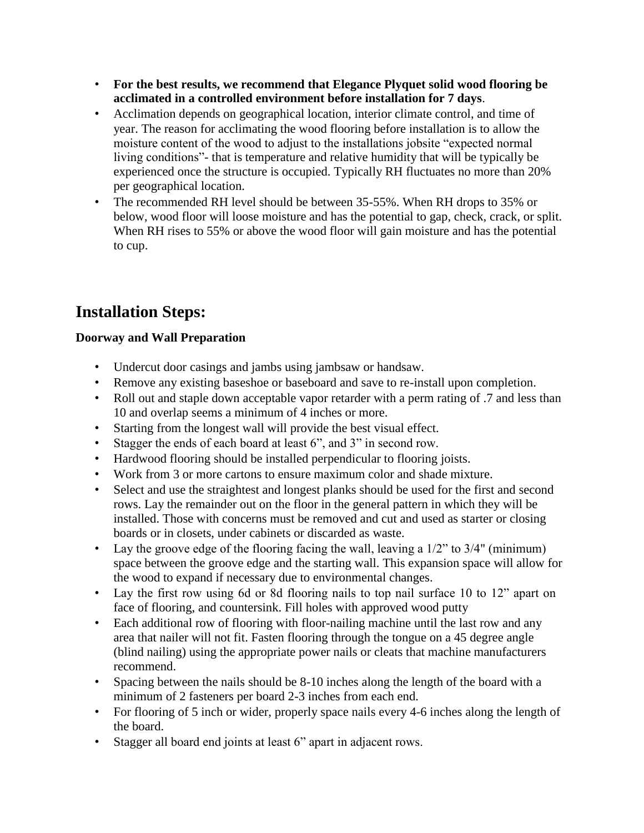- **For the best results, we recommend that Elegance Plyquet solid wood flooring be acclimated in a controlled environment before installation for 7 days**.
- Acclimation depends on geographical location, interior climate control, and time of year. The reason for acclimating the wood flooring before installation is to allow the moisture content of the wood to adjust to the installations jobsite "expected normal living conditions"- that is temperature and relative humidity that will be typically be experienced once the structure is occupied. Typically RH fluctuates no more than 20% per geographical location.
- The recommended RH level should be between 35-55%. When RH drops to 35% or below, wood floor will loose moisture and has the potential to gap, check, crack, or split. When RH rises to 55% or above the wood floor will gain moisture and has the potential to cup.

# **Installation Steps:**

### **Doorway and Wall Preparation**

- Undercut door casings and jambs using jambsaw or handsaw.
- Remove any existing baseshoe or baseboard and save to re-install upon completion.
- Roll out and staple down acceptable vapor retarder with a perm rating of .7 and less than 10 and overlap seems a minimum of 4 inches or more.
- Starting from the longest wall will provide the best visual effect.
- Stagger the ends of each board at least 6", and 3" in second row.
- Hardwood flooring should be installed perpendicular to flooring joists.
- Work from 3 or more cartons to ensure maximum color and shade mixture.
- Select and use the straightest and longest planks should be used for the first and second rows. Lay the remainder out on the floor in the general pattern in which they will be installed. Those with concerns must be removed and cut and used as starter or closing boards or in closets, under cabinets or discarded as waste.
- Lay the groove edge of the flooring facing the wall, leaving a  $1/2$ " to  $3/4$ " (minimum) space between the groove edge and the starting wall. This expansion space will allow for the wood to expand if necessary due to environmental changes.
- Lay the first row using 6d or 8d flooring nails to top nail surface 10 to 12" apart on face of flooring, and countersink. Fill holes with approved wood putty
- Each additional row of flooring with floor-nailing machine until the last row and any area that nailer will not fit. Fasten flooring through the tongue on a 45 degree angle (blind nailing) using the appropriate power nails or cleats that machine manufacturers recommend.
- Spacing between the nails should be 8-10 inches along the length of the board with a minimum of 2 fasteners per board 2-3 inches from each end.
- For flooring of 5 inch or wider, properly space nails every 4-6 inches along the length of the board.
- Stagger all board end joints at least 6" apart in adjacent rows.